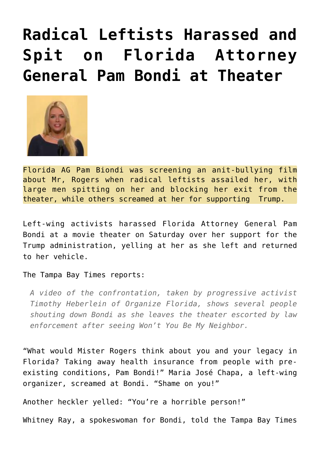## **[Radical Leftists Harassed and](https://needtoknow.news/2018/06/radical-leftists-harassed-spit-florida-attorney-general-pam-theater/) [Spit on Florida Attorney](https://needtoknow.news/2018/06/radical-leftists-harassed-spit-florida-attorney-general-pam-theater/) [General Pam Bondi at Theater](https://needtoknow.news/2018/06/radical-leftists-harassed-spit-florida-attorney-general-pam-theater/)**



Florida AG Pam Biondi was screening an anit-bullying film about Mr, Rogers when radical leftists assailed her, with large men spitting on her and blocking her exit from the theater, while others screamed at her for supporting Trump.

Left-wing activists harassed Florida Attorney General Pam Bondi at a movie theater on Saturday over her support for the Trump administration, yelling at her as she left and returned to her vehicle.

## The [Tampa Bay Times](http://www.tampabay.com/florida-politics/buzz/2018/06/23/pam-bondi-confronted-by-protesters-outside-screening-of-mr-rogers-movie/) reports:

*A video of the confrontation, taken by progressive activist Timothy Heberlein of Organize Florida, shows several people shouting down Bondi as she leaves the theater escorted by law enforcement after seeing Won't You Be My Neighbor.*

"What would Mister Rogers think about you and your legacy in Florida? Taking away health insurance from people with preexisting conditions, Pam Bondi!" Maria José Chapa, a left-wing organizer, screamed at Bondi. "Shame on you!"

Another heckler yelled: "You're a horrible person!"

Whitney Ray, a spokeswoman for Bondi, told the Tampa Bay Times